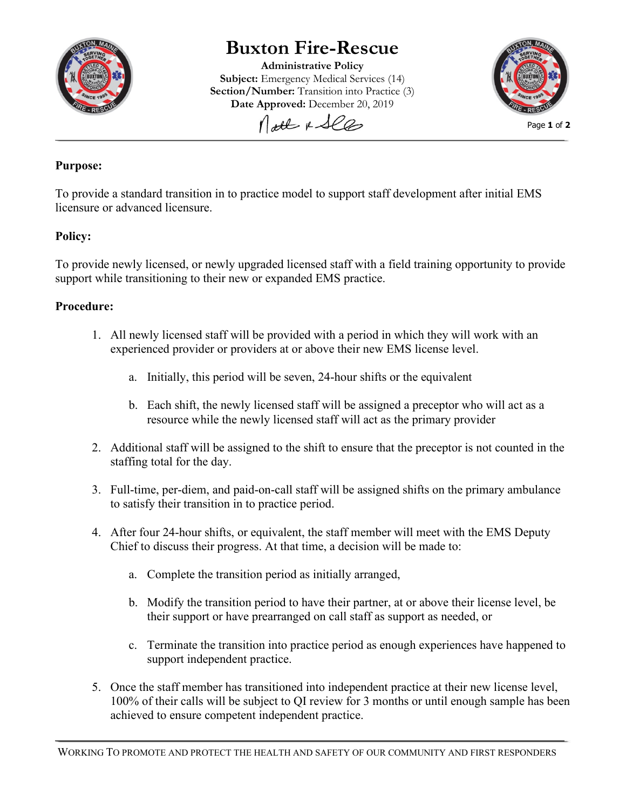

# **Buxton Fire-Rescue**

**Administrative Policy Subject:** Emergency Medical Services (14) **Section/Number:** Transition into Practice (3) **Date Approved:** December 20, 2019



Matt & See

### **Purpose:**

To provide a standard transition in to practice model to support staff development after initial EMS licensure or advanced licensure.

## **Policy:**

To provide newly licensed, or newly upgraded licensed staff with a field training opportunity to provide support while transitioning to their new or expanded EMS practice.

#### **Procedure:**

- 1. All newly licensed staff will be provided with a period in which they will work with an experienced provider or providers at or above their new EMS license level.
	- a. Initially, this period will be seven, 24-hour shifts or the equivalent
	- b. Each shift, the newly licensed staff will be assigned a preceptor who will act as a resource while the newly licensed staff will act as the primary provider
- 2. Additional staff will be assigned to the shift to ensure that the preceptor is not counted in the staffing total for the day.
- 3. Full-time, per-diem, and paid-on-call staff will be assigned shifts on the primary ambulance to satisfy their transition in to practice period.
- 4. After four 24-hour shifts, or equivalent, the staff member will meet with the EMS Deputy Chief to discuss their progress. At that time, a decision will be made to:
	- a. Complete the transition period as initially arranged,
	- b. Modify the transition period to have their partner, at or above their license level, be their support or have prearranged on call staff as support as needed, or
	- c. Terminate the transition into practice period as enough experiences have happened to support independent practice.
- 5. Once the staff member has transitioned into independent practice at their new license level, 100% of their calls will be subject to QI review for 3 months or until enough sample has been achieved to ensure competent independent practice.